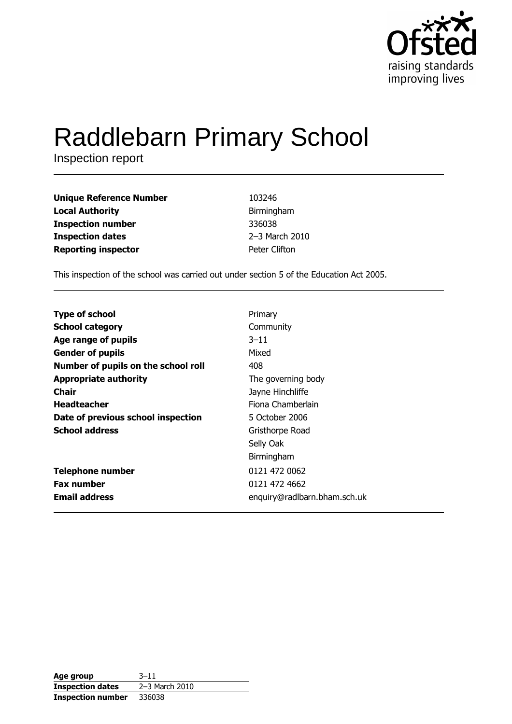

# **Raddlebarn Primary School**

Inspection report

| <b>Unique Reference Number</b> | 103246         |
|--------------------------------|----------------|
| <b>Local Authority</b>         | Birmingham     |
| <b>Inspection number</b>       | 336038         |
| <b>Inspection dates</b>        | 2-3 March 2010 |
| <b>Reporting inspector</b>     | Peter Clifton  |

This inspection of the school was carried out under section 5 of the Education Act 2005.

| Primary                      |
|------------------------------|
| Community                    |
| $3 - 11$                     |
| Mixed                        |
| 408                          |
| The governing body           |
| Jayne Hinchliffe             |
| Fiona Chamberlain            |
| 5 October 2006               |
| Gristhorpe Road              |
| Selly Oak                    |
| Birmingham                   |
| 0121 472 0062                |
| 0121 472 4662                |
| enquiry@radlbarn.bham.sch.uk |
|                              |

| Age group                | $3 - 11$       |
|--------------------------|----------------|
| <b>Inspection dates</b>  | 2–3 March 2010 |
| <b>Inspection number</b> | 336038         |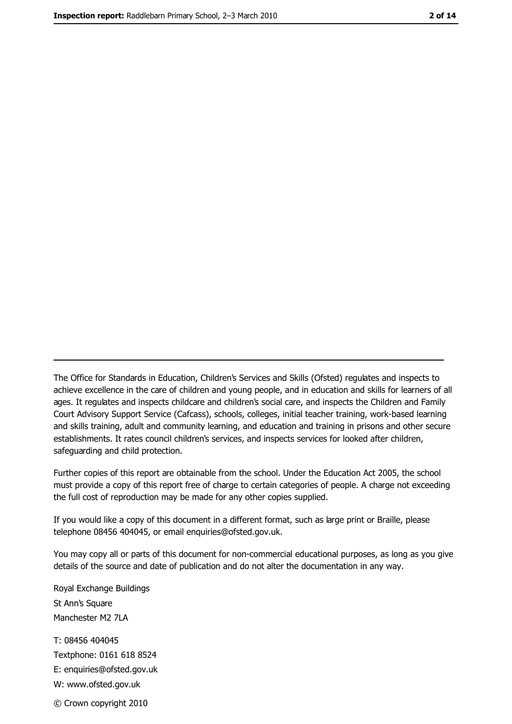The Office for Standards in Education, Children's Services and Skills (Ofsted) regulates and inspects to achieve excellence in the care of children and young people, and in education and skills for learners of all ages. It regulates and inspects childcare and children's social care, and inspects the Children and Family Court Advisory Support Service (Cafcass), schools, colleges, initial teacher training, work-based learning and skills training, adult and community learning, and education and training in prisons and other secure establishments. It rates council children's services, and inspects services for looked after children, safequarding and child protection.

Further copies of this report are obtainable from the school. Under the Education Act 2005, the school must provide a copy of this report free of charge to certain categories of people. A charge not exceeding the full cost of reproduction may be made for any other copies supplied.

If you would like a copy of this document in a different format, such as large print or Braille, please telephone 08456 404045, or email enquiries@ofsted.gov.uk.

You may copy all or parts of this document for non-commercial educational purposes, as long as you give details of the source and date of publication and do not alter the documentation in any way.

Royal Exchange Buildings St Ann's Square Manchester M2 7LA T: 08456 404045 Textphone: 0161 618 8524 E: enquiries@ofsted.gov.uk W: www.ofsted.gov.uk © Crown copyright 2010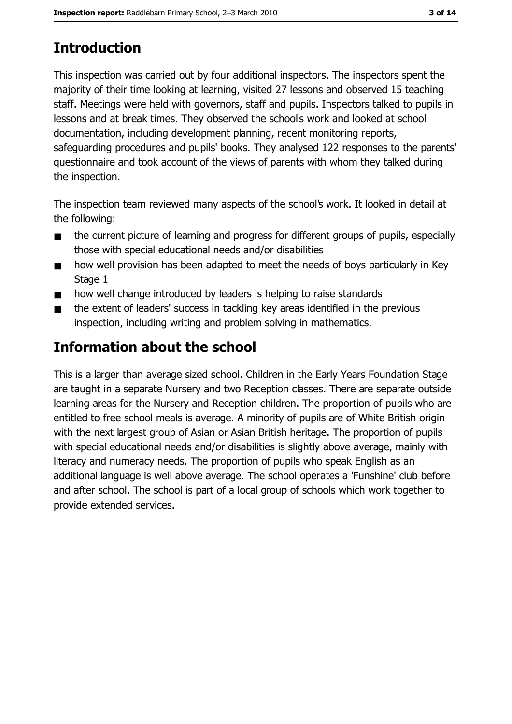# **Introduction**

This inspection was carried out by four additional inspectors. The inspectors spent the majority of their time looking at learning, visited 27 lessons and observed 15 teaching staff. Meetings were held with governors, staff and pupils. Inspectors talked to pupils in lessons and at break times. They observed the school's work and looked at school documentation, including development planning, recent monitoring reports, safeguarding procedures and pupils' books. They analysed 122 responses to the parents' questionnaire and took account of the views of parents with whom they talked during the inspection.

The inspection team reviewed many aspects of the school's work. It looked in detail at the following:

- the current picture of learning and progress for different groups of pupils, especially  $\blacksquare$ those with special educational needs and/or disabilities
- how well provision has been adapted to meet the needs of boys particularly in Key  $\blacksquare$ Stage 1
- how well change introduced by leaders is helping to raise standards
- the extent of leaders' success in tackling key areas identified in the previous  $\blacksquare$ inspection, including writing and problem solving in mathematics.

# Information about the school

This is a larger than average sized school. Children in the Early Years Foundation Stage are taught in a separate Nursery and two Reception classes. There are separate outside learning areas for the Nursery and Reception children. The proportion of pupils who are entitled to free school meals is average. A minority of pupils are of White British origin with the next largest group of Asian or Asian British heritage. The proportion of pupils with special educational needs and/or disabilities is slightly above average, mainly with literacy and numeracy needs. The proportion of pupils who speak English as an additional language is well above average. The school operates a 'Funshine' club before and after school. The school is part of a local group of schools which work together to provide extended services.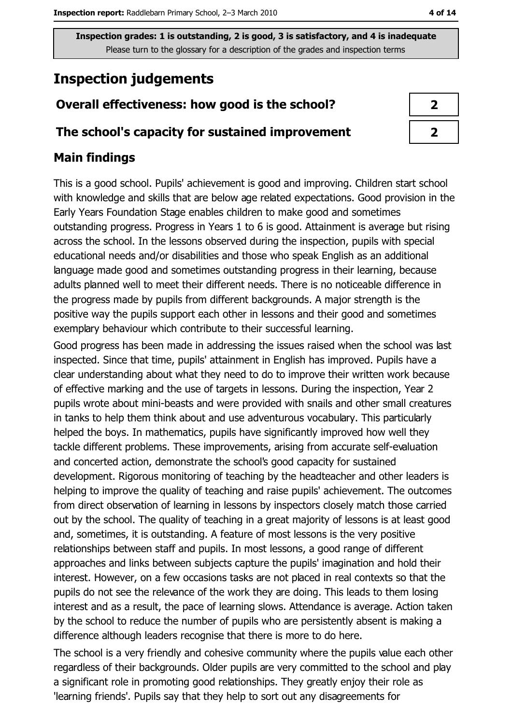# **Inspection judgements**

# Overall effectiveness: how good is the school?

## The school's capacity for sustained improvement

# **Main findings**

This is a good school. Pupils' achievement is good and improving. Children start school with knowledge and skills that are below age related expectations. Good provision in the Early Years Foundation Stage enables children to make good and sometimes outstanding progress. Progress in Years 1 to 6 is good. Attainment is average but rising across the school. In the lessons observed during the inspection, pupils with special educational needs and/or disabilities and those who speak English as an additional language made good and sometimes outstanding progress in their learning, because adults planned well to meet their different needs. There is no noticeable difference in the progress made by pupils from different backgrounds. A major strength is the positive way the pupils support each other in lessons and their good and sometimes exemplary behaviour which contribute to their successful learning.

Good progress has been made in addressing the issues raised when the school was last inspected. Since that time, pupils' attainment in English has improved. Pupils have a clear understanding about what they need to do to improve their written work because of effective marking and the use of targets in lessons. During the inspection, Year 2 pupils wrote about mini-beasts and were provided with snails and other small creatures in tanks to help them think about and use adventurous vocabulary. This particularly helped the boys. In mathematics, pupils have significantly improved how well they tackle different problems. These improvements, arising from accurate self-evaluation and concerted action, demonstrate the school's good capacity for sustained development. Rigorous monitoring of teaching by the headteacher and other leaders is helping to improve the quality of teaching and raise pupils' achievement. The outcomes from direct observation of learning in lessons by inspectors closely match those carried out by the school. The quality of teaching in a great majority of lessons is at least good and, sometimes, it is outstanding. A feature of most lessons is the very positive relationships between staff and pupils. In most lessons, a good range of different approaches and links between subjects capture the pupils' imagination and hold their interest. However, on a few occasions tasks are not placed in real contexts so that the pupils do not see the relevance of the work they are doing. This leads to them losing interest and as a result, the pace of learning slows. Attendance is average. Action taken by the school to reduce the number of pupils who are persistently absent is making a difference although leaders recognise that there is more to do here.

The school is a very friendly and cohesive community where the pupils value each other regardless of their backgrounds. Older pupils are very committed to the school and play a significant role in promoting good relationships. They greatly enjoy their role as 'learning friends'. Pupils say that they help to sort out any disagreements for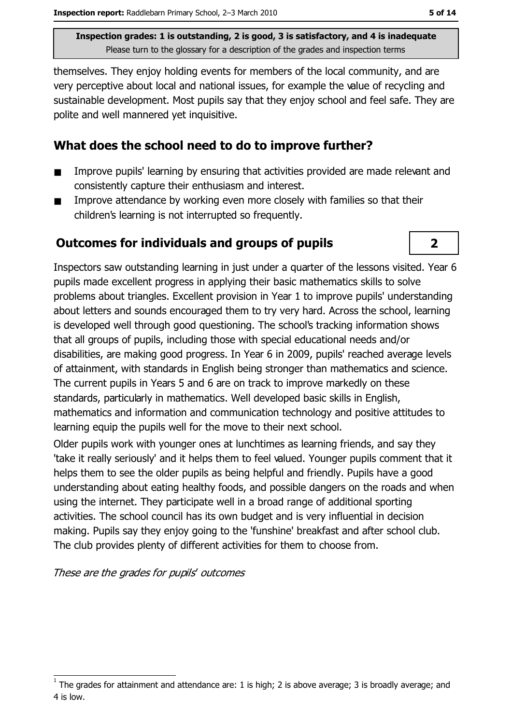themselves. They enjoy holding events for members of the local community, and are very perceptive about local and national issues, for example the value of recycling and sustainable development. Most pupils say that they enjoy school and feel safe. They are polite and well mannered yet inquisitive.

## What does the school need to do to improve further?

- Improve pupils' learning by ensuring that activities provided are made relevant and  $\blacksquare$ consistently capture their enthusiasm and interest.
- Improve attendance by working even more closely with families so that their  $\blacksquare$ children's learning is not interrupted so frequently.

### **Outcomes for individuals and groups of pupils**



Inspectors saw outstanding learning in just under a quarter of the lessons visited. Year 6 pupils made excellent progress in applying their basic mathematics skills to solve problems about triangles. Excellent provision in Year 1 to improve pupils' understanding about letters and sounds encouraged them to try very hard. Across the school, learning is developed well through good questioning. The school's tracking information shows that all groups of pupils, including those with special educational needs and/or disabilities, are making good progress. In Year 6 in 2009, pupils' reached average levels of attainment, with standards in English being stronger than mathematics and science. The current pupils in Years 5 and 6 are on track to improve markedly on these standards, particularly in mathematics. Well developed basic skills in English, mathematics and information and communication technology and positive attitudes to learning equip the pupils well for the move to their next school.

Older pupils work with younger ones at lunchtimes as learning friends, and say they 'take it really seriously' and it helps them to feel valued. Younger pupils comment that it helps them to see the older pupils as being helpful and friendly. Pupils have a good understanding about eating healthy foods, and possible dangers on the roads and when using the internet. They participate well in a broad range of additional sporting activities. The school council has its own budget and is very influential in decision making. Pupils say they enjoy going to the 'funshine' breakfast and after school club. The club provides plenty of different activities for them to choose from.

These are the grades for pupils' outcomes

The grades for attainment and attendance are: 1 is high; 2 is above average; 3 is broadly average; and 4 is low.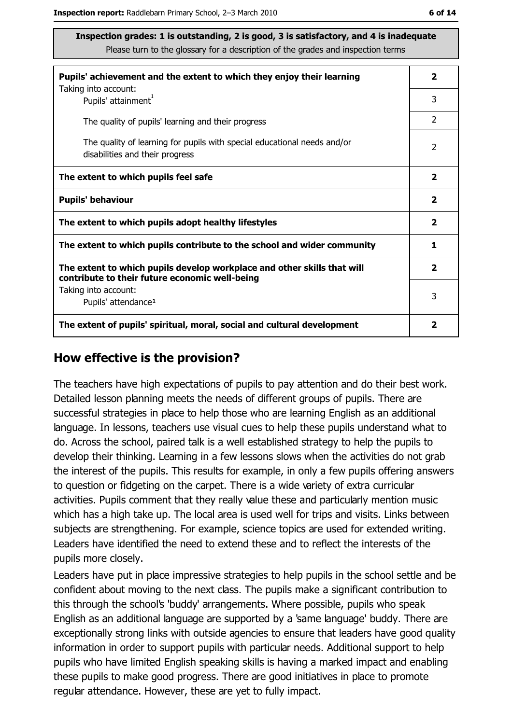| ۰.<br>× | ۰. |  |
|---------|----|--|
|---------|----|--|

| Pupils' achievement and the extent to which they enjoy their learning                                                     | $\mathbf{2}$            |
|---------------------------------------------------------------------------------------------------------------------------|-------------------------|
| Taking into account:<br>Pupils' attainment <sup>1</sup>                                                                   | 3                       |
| The quality of pupils' learning and their progress                                                                        | 2                       |
| The quality of learning for pupils with special educational needs and/or<br>disabilities and their progress               | $\overline{2}$          |
| The extent to which pupils feel safe                                                                                      | $\overline{\mathbf{2}}$ |
| <b>Pupils' behaviour</b>                                                                                                  | $\overline{\mathbf{2}}$ |
| The extent to which pupils adopt healthy lifestyles                                                                       | $\mathbf{2}$            |
| The extent to which pupils contribute to the school and wider community                                                   | 1                       |
| The extent to which pupils develop workplace and other skills that will<br>contribute to their future economic well-being | $\overline{\mathbf{2}}$ |
| Taking into account:<br>Pupils' attendance <sup>1</sup>                                                                   | 3                       |
| The extent of pupils' spiritual, moral, social and cultural development                                                   | 2                       |

#### How effective is the provision?

The teachers have high expectations of pupils to pay attention and do their best work. Detailed lesson planning meets the needs of different groups of pupils. There are successful strategies in place to help those who are learning English as an additional language. In lessons, teachers use visual cues to help these pupils understand what to do. Across the school, paired talk is a well established strategy to help the pupils to develop their thinking. Learning in a few lessons slows when the activities do not grab the interest of the pupils. This results for example, in only a few pupils offering answers to question or fidgeting on the carpet. There is a wide variety of extra curricular activities. Pupils comment that they really value these and particularly mention music which has a high take up. The local area is used well for trips and visits. Links between subjects are strengthening. For example, science topics are used for extended writing. Leaders have identified the need to extend these and to reflect the interests of the pupils more closely.

Leaders have put in place impressive strategies to help pupils in the school settle and be confident about moving to the next class. The pupils make a significant contribution to this through the school's 'buddy' arrangements. Where possible, pupils who speak English as an additional language are supported by a 'same language' buddy. There are exceptionally strong links with outside agencies to ensure that leaders have good quality information in order to support pupils with particular needs. Additional support to help pupils who have limited English speaking skills is having a marked impact and enabling these pupils to make good progress. There are good initiatives in place to promote regular attendance. However, these are yet to fully impact.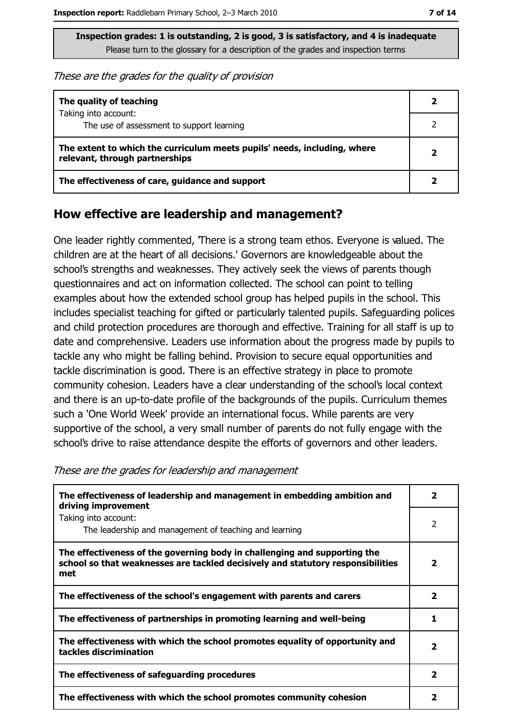These are the grades for the quality of provision

| The quality of teaching                                                                                    |  |
|------------------------------------------------------------------------------------------------------------|--|
| Taking into account:<br>The use of assessment to support learning                                          |  |
| The extent to which the curriculum meets pupils' needs, including, where<br>relevant, through partnerships |  |
| The effectiveness of care, guidance and support                                                            |  |

## How effective are leadership and management?

One leader rightly commented, There is a strong team ethos. Everyone is valued. The children are at the heart of all decisions.' Governors are knowledgeable about the school's strengths and weaknesses. They actively seek the views of parents though questionnaires and act on information collected. The school can point to telling examples about how the extended school group has helped pupils in the school. This includes specialist teaching for gifted or particularly talented pupils. Safeguarding polices and child protection procedures are thorough and effective. Training for all staff is up to date and comprehensive. Leaders use information about the progress made by pupils to tackle any who might be falling behind. Provision to secure equal opportunities and tackle discrimination is good. There is an effective strategy in place to promote community cohesion. Leaders have a clear understanding of the school's local context and there is an up-to-date profile of the backgrounds of the pupils. Curriculum themes such a 'One World Week' provide an international focus. While parents are very supportive of the school, a very small number of parents do not fully engage with the school's drive to raise attendance despite the efforts of governors and other leaders.

These are the grades for leadership and management

| The effectiveness of leadership and management in embedding ambition and<br>driving improvement                                                                     | $\mathbf{2}$            |
|---------------------------------------------------------------------------------------------------------------------------------------------------------------------|-------------------------|
| Taking into account:<br>The leadership and management of teaching and learning                                                                                      | $\overline{2}$          |
| The effectiveness of the governing body in challenging and supporting the<br>school so that weaknesses are tackled decisively and statutory responsibilities<br>met | $\overline{\mathbf{2}}$ |
| The effectiveness of the school's engagement with parents and carers                                                                                                | 2                       |
| The effectiveness of partnerships in promoting learning and well-being                                                                                              |                         |
| The effectiveness with which the school promotes equality of opportunity and<br>tackles discrimination                                                              | $\overline{\mathbf{2}}$ |
| The effectiveness of safeguarding procedures                                                                                                                        | 2                       |
| The effectiveness with which the school promotes community cohesion                                                                                                 | 2                       |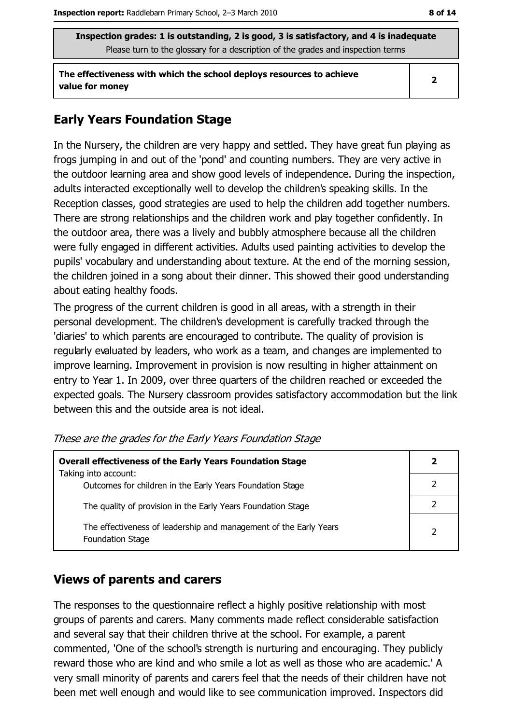The effectiveness with which the school deploys resources to achieve value for money

# **Early Years Foundation Stage**

In the Nursery, the children are very happy and settled. They have great fun playing as frogs jumping in and out of the 'pond' and counting numbers. They are very active in the outdoor learning area and show good levels of independence. During the inspection, adults interacted exceptionally well to develop the children's speaking skills. In the Reception classes, good strategies are used to help the children add together numbers. There are strong relationships and the children work and play together confidently. In the outdoor area, there was a lively and bubbly atmosphere because all the children were fully engaged in different activities. Adults used painting activities to develop the pupils' vocabulary and understanding about texture. At the end of the morning session, the children joined in a song about their dinner. This showed their good understanding about eating healthy foods.

The progress of the current children is good in all areas, with a strength in their personal development. The children's development is carefully tracked through the 'diaries' to which parents are encouraged to contribute. The quality of provision is regularly evaluated by leaders, who work as a team, and changes are implemented to improve learning. Improvement in provision is now resulting in higher attainment on entry to Year 1. In 2009, over three quarters of the children reached or exceeded the expected goals. The Nursery classroom provides satisfactory accommodation but the link between this and the outside area is not ideal.

| <b>Overall effectiveness of the Early Years Foundation Stage</b><br>Taking into account: |  |
|------------------------------------------------------------------------------------------|--|
| Outcomes for children in the Early Years Foundation Stage                                |  |
| The quality of provision in the Early Years Foundation Stage                             |  |
| The effectiveness of leadership and management of the Early Years<br>Foundation Stage    |  |

These are the grades for the Early Years Foundation Stage

## **Views of parents and carers**

The responses to the questionnaire reflect a highly positive relationship with most groups of parents and carers. Many comments made reflect considerable satisfaction and several say that their children thrive at the school. For example, a parent commented, 'One of the school's strength is nurturing and encouraging. They publicly reward those who are kind and who smile a lot as well as those who are academic.' A very small minority of parents and carers feel that the needs of their children have not been met well enough and would like to see communication improved. Inspectors did

 $\overline{2}$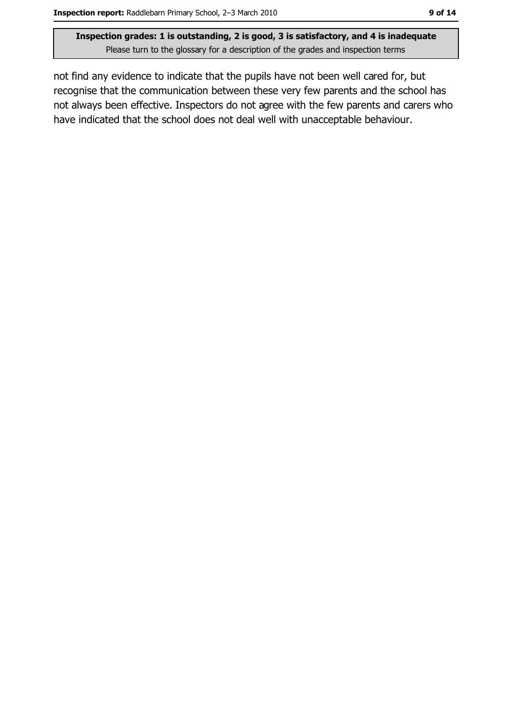not find any evidence to indicate that the pupils have not been well cared for, but recognise that the communication between these very few parents and the school has not always been effective. Inspectors do not agree with the few parents and carers who have indicated that the school does not deal well with unacceptable behaviour.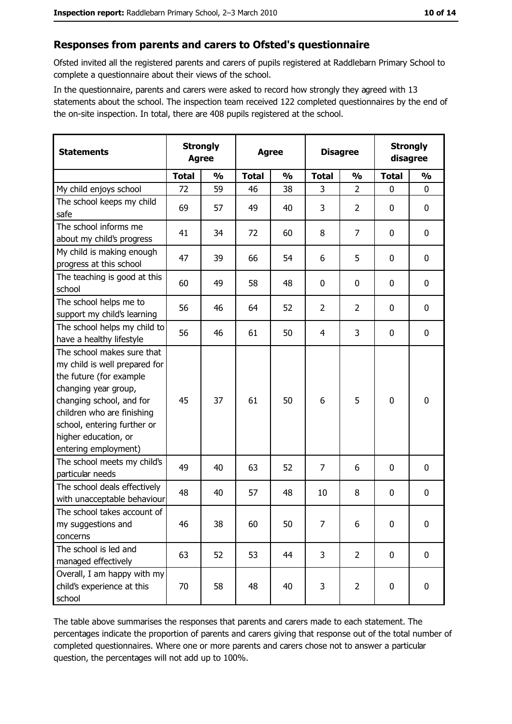#### Responses from parents and carers to Ofsted's questionnaire

Ofsted invited all the registered parents and carers of pupils registered at Raddlebarn Primary School to complete a questionnaire about their views of the school.

In the questionnaire, parents and carers were asked to record how strongly they agreed with 13 statements about the school. The inspection team received 122 completed questionnaires by the end of the on-site inspection. In total, there are 408 pupils registered at the school.

| <b>Statements</b>                                                                                                                                                                                                                                       | <b>Strongly</b><br><b>Agree</b> |               | <b>Agree</b> |               | <b>Disagree</b> |                | <b>Strongly</b><br>disagree |                  |
|---------------------------------------------------------------------------------------------------------------------------------------------------------------------------------------------------------------------------------------------------------|---------------------------------|---------------|--------------|---------------|-----------------|----------------|-----------------------------|------------------|
|                                                                                                                                                                                                                                                         | <b>Total</b>                    | $\frac{0}{0}$ | <b>Total</b> | $\frac{0}{0}$ | <b>Total</b>    | $\frac{0}{0}$  | <b>Total</b>                | $\frac{0}{0}$    |
| My child enjoys school                                                                                                                                                                                                                                  | 72                              | 59            | 46           | 38            | 3               | $\overline{2}$ | $\mathbf{0}$                | $\mathbf 0$      |
| The school keeps my child<br>safe                                                                                                                                                                                                                       | 69                              | 57            | 49           | 40            | 3               | $\overline{2}$ | 0                           | $\bf{0}$         |
| The school informs me<br>about my child's progress                                                                                                                                                                                                      | 41                              | 34            | 72           | 60            | 8               | $\overline{7}$ | 0                           | 0                |
| My child is making enough<br>progress at this school                                                                                                                                                                                                    | 47                              | 39            | 66           | 54            | 6               | 5              | 0                           | $\mathbf 0$      |
| The teaching is good at this<br>school                                                                                                                                                                                                                  | 60                              | 49            | 58           | 48            | 0               | 0              | 0                           | $\mathbf 0$      |
| The school helps me to<br>support my child's learning                                                                                                                                                                                                   | 56                              | 46            | 64           | 52            | $\overline{2}$  | $\overline{2}$ | 0                           | $\mathbf 0$      |
| The school helps my child to<br>have a healthy lifestyle                                                                                                                                                                                                | 56                              | 46            | 61           | 50            | $\overline{4}$  | 3              | 0                           | $\mathbf 0$      |
| The school makes sure that<br>my child is well prepared for<br>the future (for example<br>changing year group,<br>changing school, and for<br>children who are finishing<br>school, entering further or<br>higher education, or<br>entering employment) | 45                              | 37            | 61           | 50            | 6               | 5              | 0                           | $\mathbf 0$      |
| The school meets my child's<br>particular needs                                                                                                                                                                                                         | 49                              | 40            | 63           | 52            | $\overline{7}$  | 6              | 0                           | $\boldsymbol{0}$ |
| The school deals effectively<br>with unacceptable behaviour                                                                                                                                                                                             | 48                              | 40            | 57           | 48            | 10              | 8              | 0                           | 0                |
| The school takes account of<br>my suggestions and<br>concerns                                                                                                                                                                                           | 46                              | 38            | 60           | 50            | 7               | 6              | $\mathbf 0$                 | $\mathbf 0$      |
| The school is led and<br>managed effectively                                                                                                                                                                                                            | 63                              | 52            | 53           | 44            | 3               | $\overline{2}$ | $\mathbf 0$                 | $\mathbf 0$      |
| Overall, I am happy with my<br>child's experience at this<br>school                                                                                                                                                                                     | 70                              | 58            | 48           | 40            | 3               | $\overline{2}$ | 0                           | $\mathbf 0$      |

The table above summarises the responses that parents and carers made to each statement. The percentages indicate the proportion of parents and carers giving that response out of the total number of completed questionnaires. Where one or more parents and carers chose not to answer a particular question, the percentages will not add up to 100%.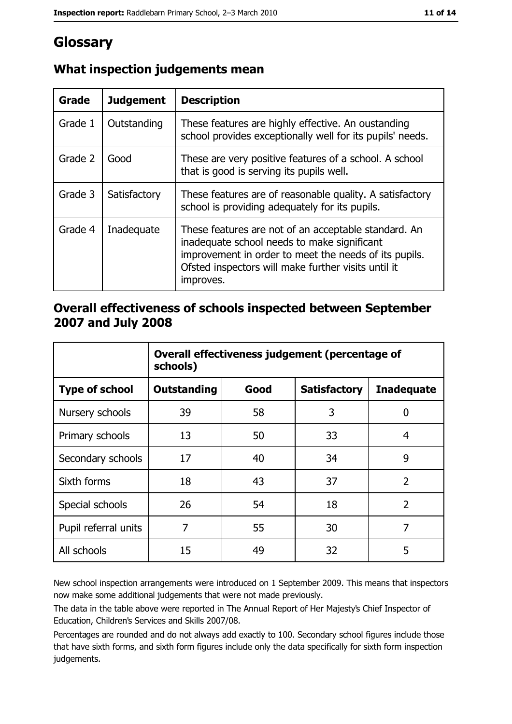# Glossary

| Grade   | <b>Judgement</b> | <b>Description</b>                                                                                                                                                                                                               |
|---------|------------------|----------------------------------------------------------------------------------------------------------------------------------------------------------------------------------------------------------------------------------|
| Grade 1 | Outstanding      | These features are highly effective. An oustanding<br>school provides exceptionally well for its pupils' needs.                                                                                                                  |
| Grade 2 | Good             | These are very positive features of a school. A school<br>that is good is serving its pupils well.                                                                                                                               |
| Grade 3 | Satisfactory     | These features are of reasonable quality. A satisfactory<br>school is providing adequately for its pupils.                                                                                                                       |
| Grade 4 | Inadequate       | These features are not of an acceptable standard. An<br>inadequate school needs to make significant<br>improvement in order to meet the needs of its pupils.<br>Ofsted inspectors will make further visits until it<br>improves. |

# What inspection judgements mean

## Overall effectiveness of schools inspected between September 2007 and July 2008

|                       | Overall effectiveness judgement (percentage of<br>schools) |      |                     |                   |
|-----------------------|------------------------------------------------------------|------|---------------------|-------------------|
| <b>Type of school</b> | <b>Outstanding</b>                                         | Good | <b>Satisfactory</b> | <b>Inadequate</b> |
| Nursery schools       | 39                                                         | 58   | 3                   | 0                 |
| Primary schools       | 13                                                         | 50   | 33                  | 4                 |
| Secondary schools     | 17                                                         | 40   | 34                  | 9                 |
| Sixth forms           | 18                                                         | 43   | 37                  | $\overline{2}$    |
| Special schools       | 26                                                         | 54   | 18                  | $\overline{2}$    |
| Pupil referral units  | 7                                                          | 55   | 30                  | 7                 |
| All schools           | 15                                                         | 49   | 32                  | 5                 |

New school inspection arrangements were introduced on 1 September 2009. This means that inspectors now make some additional judgements that were not made previously.

The data in the table above were reported in The Annual Report of Her Majesty's Chief Inspector of Education, Children's Services and Skills 2007/08.

Percentages are rounded and do not always add exactly to 100. Secondary school figures include those that have sixth forms, and sixth form figures include only the data specifically for sixth form inspection judgements.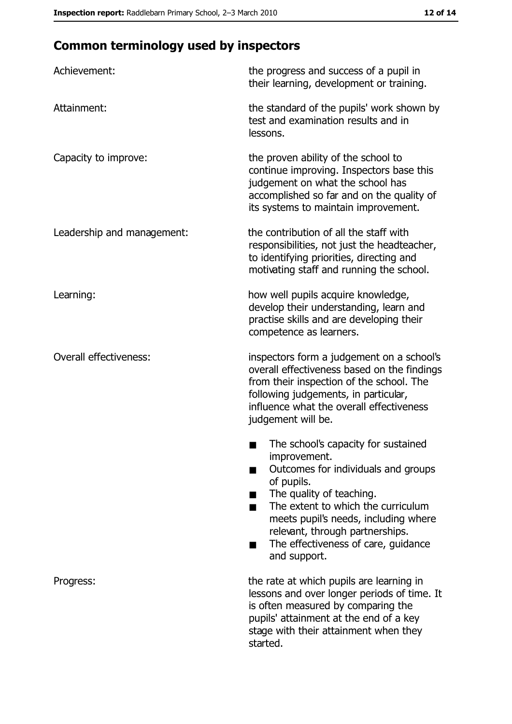# **Common terminology used by inspectors**

| Achievement:                  | the progress and success of a pupil in<br>their learning, development or training.                                                                                                                                                                                                                           |
|-------------------------------|--------------------------------------------------------------------------------------------------------------------------------------------------------------------------------------------------------------------------------------------------------------------------------------------------------------|
| Attainment:                   | the standard of the pupils' work shown by<br>test and examination results and in<br>lessons.                                                                                                                                                                                                                 |
| Capacity to improve:          | the proven ability of the school to<br>continue improving. Inspectors base this<br>judgement on what the school has<br>accomplished so far and on the quality of<br>its systems to maintain improvement.                                                                                                     |
| Leadership and management:    | the contribution of all the staff with<br>responsibilities, not just the headteacher,<br>to identifying priorities, directing and<br>motivating staff and running the school.                                                                                                                                |
| Learning:                     | how well pupils acquire knowledge,<br>develop their understanding, learn and<br>practise skills and are developing their<br>competence as learners.                                                                                                                                                          |
| <b>Overall effectiveness:</b> | inspectors form a judgement on a school's<br>overall effectiveness based on the findings<br>from their inspection of the school. The<br>following judgements, in particular,<br>influence what the overall effectiveness<br>judgement will be.                                                               |
|                               | The school's capacity for sustained<br>improvement.<br>Outcomes for individuals and groups<br>of pupils.<br>The quality of teaching.<br>The extent to which the curriculum<br>meets pupil's needs, including where<br>relevant, through partnerships.<br>The effectiveness of care, guidance<br>and support. |
| Progress:                     | the rate at which pupils are learning in<br>lessons and over longer periods of time. It<br>is often measured by comparing the<br>pupils' attainment at the end of a key<br>stage with their attainment when they<br>started.                                                                                 |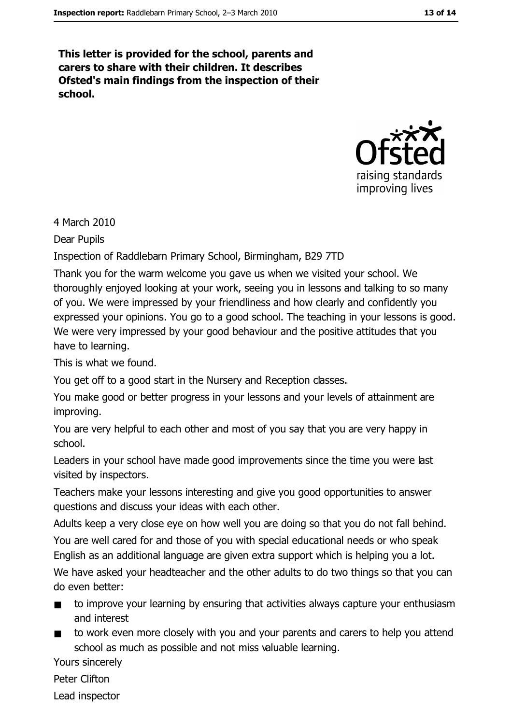This letter is provided for the school, parents and carers to share with their children. It describes Ofsted's main findings from the inspection of their school.



4 March 2010

**Dear Pupils** 

Inspection of Raddlebarn Primary School, Birmingham, B29 7TD

Thank you for the warm welcome you gave us when we visited your school. We thoroughly enjoyed looking at your work, seeing you in lessons and talking to so many of you. We were impressed by your friendliness and how clearly and confidently you expressed your opinions. You go to a good school. The teaching in your lessons is good. We were very impressed by your good behaviour and the positive attitudes that you have to learning.

This is what we found.

You get off to a good start in the Nursery and Reception classes.

You make good or better progress in your lessons and your levels of attainment are improving.

You are very helpful to each other and most of you say that you are very happy in school.

Leaders in your school have made good improvements since the time you were last visited by inspectors.

Teachers make your lessons interesting and give you good opportunities to answer questions and discuss your ideas with each other.

Adults keep a very close eye on how well you are doing so that you do not fall behind.

You are well cared for and those of you with special educational needs or who speak English as an additional language are given extra support which is helping you a lot.

We have asked your headteacher and the other adults to do two things so that you can do even better:

- to improve your learning by ensuring that activities always capture your enthusiasm  $\blacksquare$ and interest
- to work even more closely with you and your parents and carers to help you attend  $\blacksquare$ school as much as possible and not miss valuable learning.

Yours sincerely

Peter Clifton

Lead inspector